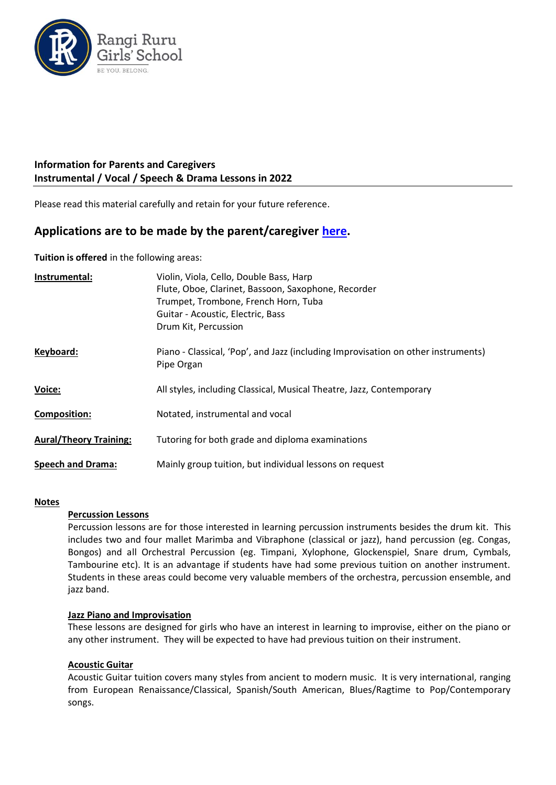

## **Information for Parents and Caregivers Instrumental / Vocal / Speech & Drama Lessons in 2022**

Please read this material carefully and retain for your future reference.

# **Applications are to be made by the parent/caregiver [here.](https://form.jotform.com/53488025021954)**

**Tuition is offered** in the following areas:

| Instrumental:                 | Violin, Viola, Cello, Double Bass, Harp<br>Flute, Oboe, Clarinet, Bassoon, Saxophone, Recorder<br>Trumpet, Trombone, French Horn, Tuba<br>Guitar - Acoustic, Electric, Bass<br>Drum Kit, Percussion |
|-------------------------------|-----------------------------------------------------------------------------------------------------------------------------------------------------------------------------------------------------|
| Keyboard:                     | Piano - Classical, 'Pop', and Jazz (including Improvisation on other instruments)<br>Pipe Organ                                                                                                     |
| Voice:                        | All styles, including Classical, Musical Theatre, Jazz, Contemporary                                                                                                                                |
| <b>Composition:</b>           | Notated, instrumental and vocal                                                                                                                                                                     |
| <b>Aural/Theory Training:</b> | Tutoring for both grade and diploma examinations                                                                                                                                                    |
| <b>Speech and Drama:</b>      | Mainly group tuition, but individual lessons on request                                                                                                                                             |

### **Notes**

### **Percussion Lessons**

Percussion lessons are for those interested in learning percussion instruments besides the drum kit. This includes two and four mallet Marimba and Vibraphone (classical or jazz), hand percussion (eg. Congas, Bongos) and all Orchestral Percussion (eg. Timpani, Xylophone, Glockenspiel, Snare drum, Cymbals, Tambourine etc). It is an advantage if students have had some previous tuition on another instrument. Students in these areas could become very valuable members of the orchestra, percussion ensemble, and jazz band.

### **Jazz Piano and Improvisation**

These lessons are designed for girls who have an interest in learning to improvise, either on the piano or any other instrument. They will be expected to have had previous tuition on their instrument.

### **Acoustic Guitar**

Acoustic Guitar tuition covers many styles from ancient to modern music. It is very international, ranging from European Renaissance/Classical, Spanish/South American, Blues/Ragtime to Pop/Contemporary songs.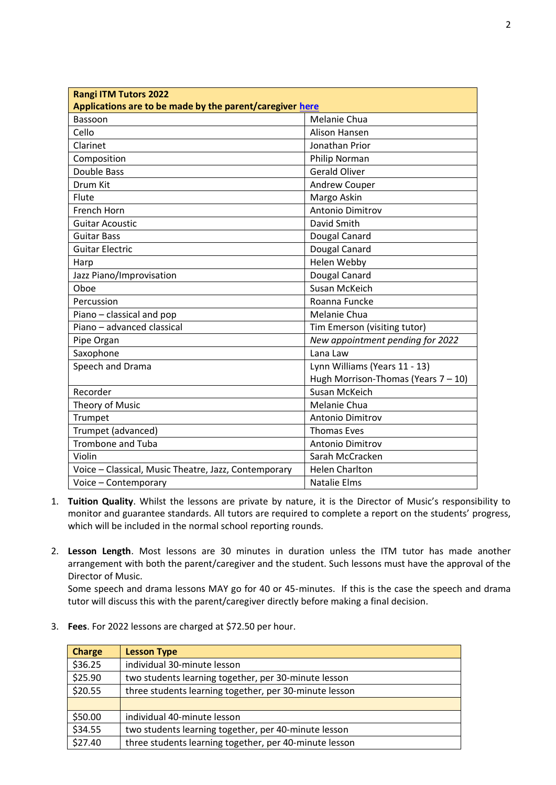| <b>Rangi ITM Tutors 2022</b>                             |                                        |
|----------------------------------------------------------|----------------------------------------|
| Applications are to be made by the parent/caregiver here |                                        |
| Bassoon                                                  | Melanie Chua                           |
| Cello                                                    | Alison Hansen                          |
| Clarinet                                                 | Jonathan Prior                         |
| Composition                                              | Philip Norman                          |
| Double Bass                                              | <b>Gerald Oliver</b>                   |
| Drum Kit                                                 | Andrew Couper                          |
| Flute                                                    | Margo Askin                            |
| French Horn                                              | Antonio Dimitrov                       |
| <b>Guitar Acoustic</b>                                   | David Smith                            |
| <b>Guitar Bass</b>                                       | Dougal Canard                          |
| <b>Guitar Electric</b>                                   | Dougal Canard                          |
| Harp                                                     | Helen Webby                            |
| Jazz Piano/Improvisation                                 | Dougal Canard                          |
| Oboe                                                     | Susan McKeich                          |
| Percussion                                               | Roanna Funcke                          |
| Piano - classical and pop                                | Melanie Chua                           |
| Piano - advanced classical                               | Tim Emerson (visiting tutor)           |
| Pipe Organ                                               | New appointment pending for 2022       |
| Saxophone                                                | Lana Law                               |
| Speech and Drama                                         | Lynn Williams (Years 11 - 13)          |
|                                                          | Hugh Morrison-Thomas (Years $7 - 10$ ) |
| Recorder                                                 | Susan McKeich                          |
| Theory of Music                                          | Melanie Chua                           |
| Trumpet                                                  | Antonio Dimitrov                       |
| Trumpet (advanced)                                       | <b>Thomas Eves</b>                     |
| Trombone and Tuba                                        | Antonio Dimitrov                       |
| Violin                                                   | Sarah McCracken                        |
| Voice - Classical, Music Theatre, Jazz, Contemporary     | <b>Helen Charlton</b>                  |
| Voice - Contemporary                                     | <b>Natalie Elms</b>                    |

- 1. **Tuition Quality**. Whilst the lessons are private by nature, it is the Director of Music's responsibility to monitor and guarantee standards. All tutors are required to complete a report on the students' progress, which will be included in the normal school reporting rounds.
- 2. **Lesson Length**. Most lessons are 30 minutes in duration unless the ITM tutor has made another arrangement with both the parent/caregiver and the student. Such lessons must have the approval of the Director of Music.

Some speech and drama lessons MAY go for 40 or 45-minutes. If this is the case the speech and drama tutor will discuss this with the parent/caregiver directly before making a final decision.

3. **Fees**. For 2022 lessons are charged at \$72.50 per hour.

| <b>Charge</b> | <b>Lesson Type</b>                                     |
|---------------|--------------------------------------------------------|
| \$36.25       | individual 30-minute lesson                            |
| \$25.90       | two students learning together, per 30-minute lesson   |
| \$20.55       | three students learning together, per 30-minute lesson |
|               |                                                        |
| \$50.00       | individual 40-minute lesson                            |
| \$34.55       | two students learning together, per 40-minute lesson   |
| \$27.40       | three students learning together, per 40-minute lesson |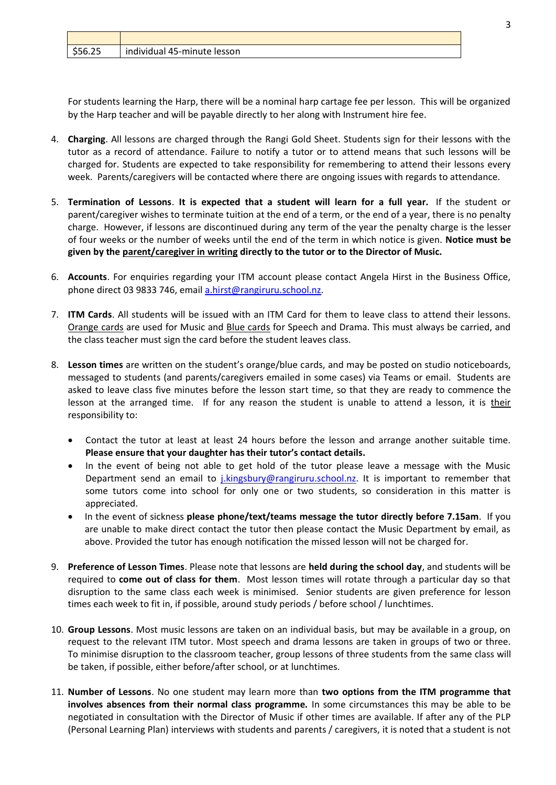| 555/<br>ر ے.ں ب | individual 45-minute lesson |
|-----------------|-----------------------------|

For students learning the Harp, there will be a nominal harp cartage fee per lesson. This will be organized by the Harp teacher and will be payable directly to her along with Instrument hire fee.

- 4. **Charging**. All lessons are charged through the Rangi Gold Sheet. Students sign for their lessons with the tutor as a record of attendance. Failure to notify a tutor or to attend means that such lessons will be charged for. Students are expected to take responsibility for remembering to attend their lessons every week. Parents/caregivers will be contacted where there are ongoing issues with regards to attendance.
- 5. **Termination of Lessons**. **It is expected that a student will learn for a full year.** If the student or parent/caregiver wishes to terminate tuition at the end of a term, or the end of a year, there is no penalty charge. However, if lessons are discontinued during any term of the year the penalty charge is the lesser of four weeks or the number of weeks until the end of the term in which notice is given. **Notice must be given by the parent/caregiver in writing directly to the tutor or to the Director of Music.**
- 6. **Accounts**. For enquiries regarding your ITM account please contact Angela Hirst in the Business Office, phone direct 03 9833 746, email [a.hirst@rangiruru.school.nz.](mailto:a.hirst@rangiruru.school.nz)
- 7. **ITM Cards**. All students will be issued with an ITM Card for them to leave class to attend their lessons. Orange cards are used for Music and Blue cards for Speech and Drama. This must always be carried, and the class teacher must sign the card before the student leaves class.
- 8. **Lesson times** are written on the student's orange/blue cards, and may be posted on studio noticeboards, messaged to students (and parents/caregivers emailed in some cases) via Teams or email. Students are asked to leave class five minutes before the lesson start time, so that they are ready to commence the lesson at the arranged time. If for any reason the student is unable to attend a lesson, it is their responsibility to:
	- Contact the tutor at least at least 24 hours before the lesson and arrange another suitable time. **Please ensure that your daughter has their tutor's contact details.**
	- In the event of being not able to get hold of the tutor please leave a message with the Music Department send an email to *i.kingsbury@rangiruru.school.nz.* It is important to remember that some tutors come into school for only one or two students, so consideration in this matter is appreciated.
	- In the event of sickness **please phone/text/teams message the tutor directly before 7.15am**. If you are unable to make direct contact the tutor then please contact the Music Department by email, as above. Provided the tutor has enough notification the missed lesson will not be charged for.
- 9. **Preference of Lesson Times**. Please note that lessons are **held during the school day**, and students will be required to **come out of class for them**. Most lesson times will rotate through a particular day so that disruption to the same class each week is minimised. Senior students are given preference for lesson times each week to fit in, if possible, around study periods / before school / lunchtimes.
- 10. **Group Lessons**. Most music lessons are taken on an individual basis, but may be available in a group, on request to the relevant ITM tutor. Most speech and drama lessons are taken in groups of two or three. To minimise disruption to the classroom teacher, group lessons of three students from the same class will be taken, if possible, either before/after school, or at lunchtimes.
- 11. **Number of Lessons**. No one student may learn more than **two options from the ITM programme that involves absences from their normal class programme.** In some circumstances this may be able to be negotiated in consultation with the Director of Music if other times are available. If after any of the PLP (Personal Learning Plan) interviews with students and parents / caregivers, it is noted that a student is not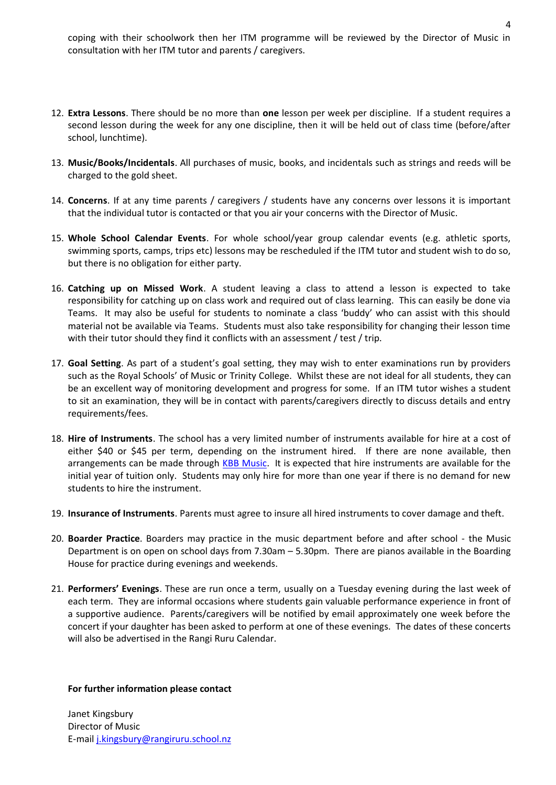coping with their schoolwork then her ITM programme will be reviewed by the Director of Music in consultation with her ITM tutor and parents / caregivers.

- 12. **Extra Lessons**. There should be no more than **one** lesson per week per discipline. If a student requires a second lesson during the week for any one discipline, then it will be held out of class time (before/after school, lunchtime).
- 13. **Music/Books/Incidentals**. All purchases of music, books, and incidentals such as strings and reeds will be charged to the gold sheet.
- 14. **Concerns**. If at any time parents / caregivers / students have any concerns over lessons it is important that the individual tutor is contacted or that you air your concerns with the Director of Music.
- 15. **Whole School Calendar Events**. For whole school/year group calendar events (e.g. athletic sports, swimming sports, camps, trips etc) lessons may be rescheduled if the ITM tutor and student wish to do so, but there is no obligation for either party.
- 16. **Catching up on Missed Work**. A student leaving a class to attend a lesson is expected to take responsibility for catching up on class work and required out of class learning. This can easily be done via Teams. It may also be useful for students to nominate a class 'buddy' who can assist with this should material not be available via Teams. Students must also take responsibility for changing their lesson time with their tutor should they find it conflicts with an assessment / test / trip.
- 17. **Goal Setting**. As part of a student's goal setting, they may wish to enter examinations run by providers such as the Royal Schools' of Music or Trinity College. Whilst these are not ideal for all students, they can be an excellent way of monitoring development and progress for some. If an ITM tutor wishes a student to sit an examination, they will be in contact with parents/caregivers directly to discuss details and entry requirements/fees.
- 18. **Hire of Instruments**. The school has a very limited number of instruments available for hire at a cost of either \$40 or \$45 per term, depending on the instrument hired. If there are none available, then arrangements can be made through [KBB Music.](https://www.kbbmusic.co.nz/rentals/) It is expected that hire instruments are available for the initial year of tuition only. Students may only hire for more than one year if there is no demand for new students to hire the instrument.
- 19. **Insurance of Instruments**. Parents must agree to insure all hired instruments to cover damage and theft.
- 20. **Boarder Practice**. Boarders may practice in the music department before and after school the Music Department is on open on school days from 7.30am – 5.30pm. There are pianos available in the Boarding House for practice during evenings and weekends.
- 21. **Performers' Evenings**. These are run once a term, usually on a Tuesday evening during the last week of each term. They are informal occasions where students gain valuable performance experience in front of a supportive audience. Parents/caregivers will be notified by email approximately one week before the concert if your daughter has been asked to perform at one of these evenings. The dates of these concerts will also be advertised in the Rangi Ruru Calendar.

#### **For further information please contact**

Janet Kingsbury Director of Music E-mail [j.kingsbury@rangiruru.school.nz](mailto:j.kingsbury@rangiruru.school.nz)